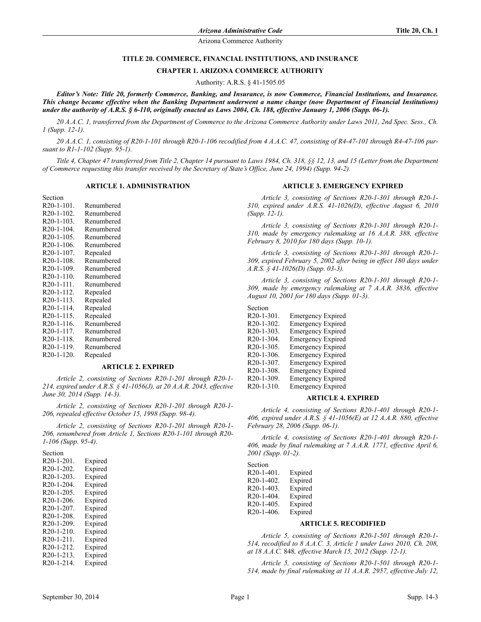### **TITLE 20. COMMERCE, FINANCIAL INSTITUTIONS, AND INSURANCE**

#### **CHAPTER 1. ARIZONA COMMERCE AUTHORITY**

Authority: A.R.S. § 41-1505.05

*Editor's Note: Title 20, formerly Commerce, Banking, and Insurance, is now Commerce, Financial Institutions, and Insurance. This change became effective when the Banking Department underwent a name change (now Department of Financial Institutions) under the authority of A.R.S. § 6-110, originally enacted as Laws 2004, Ch. 188, effective January 1, 2006 (Supp. 06-1).*

*20 A.A.C. 1, transferred from the Department of Commerce to the Arizona Commerce Authority under Laws 2011, 2nd Spec. Sess., Ch. 1 (Supp. 12-1).*

*20 A.A.C. 1, consisting of R20-1-101 through R20-1-106 recodified from 4 A.A.C. 47, consisting of R4-47-101 through R4-47-106 pursuant to R1-1-102 (Supp. 95-1).*

*Title 4, Chapter 47 transferred from Title 2, Chapter 14 pursuant to Laws 1984, Ch. 318, §§ 12, 13, and 15 (Letter from the Department of Commerce requesting this transfer received by the Secretary of State's Office, June 24, 1994) (Supp. 94-2).*

#### **ARTICLE 1. ADMINISTRATION**

| Section                 |            |
|-------------------------|------------|
| $R20-1-101$ .           | Renumbered |
| R20-1-102.              | Renumbered |
| $R20-1-103$ .           | Renumbered |
| $R20-1-104$ .           | Renumbered |
| $R20-1-105$ .           | Renumbered |
| $R20-1-106$ .           | Renumbered |
| R <sub>20</sub> -1-107. | Repealed   |
| $R20-1-108$ .           | Renumbered |
| R <sub>20</sub> -1-109. | Renumbered |
| $R20-1-110.$            | Renumbered |
| R20-1-111.              | Renumbered |
| R <sub>20</sub> -1-112. | Repealed   |
| $R20-1-113$ .           | Repealed   |
| R <sub>20</sub> -1-114. | Repealed   |
| $R20-1-115$ .           | Repealed   |
| $R20-1-116$ .           | Renumbered |
| R <sub>20</sub> -1-117. | Renumbered |
| $R20-1-118$ .           | Renumbered |
| R20-1-119.              | Renumbered |
| R <sub>20</sub> -1-120. | Repealed   |

### **ARTICLE 2. EXPIRED**

*Article 2, consisting of Sections R20-1-201 through R20-1- 214, expired under A.R.S. § 41-1056(J), at 20 A.A.R. 2043, effective June 30, 2014 (Supp. 14-3).*

*Article 2, consisting of Sections R20-1-201 through R20-1- 206, repealed effective October 15, 1998 (Supp. 98-4).*

*Article 2, consisting of Sections R20-1-201 through R20-1- 206, renumbered from Article 1, Sections R20-1-101 through R20- 1-106 (Supp. 95-4).*

| Section                 |         |
|-------------------------|---------|
| R <sub>20</sub> -1-201. | Expired |
| R <sub>20</sub> -1-202. | Expired |
| $R20-1-203$ .           | Expired |
| R <sub>20</sub> -1-204. | Expired |
| R <sub>20</sub> -1-205. | Expired |
| R <sub>20</sub> -1-206. | Expired |
| R <sub>20</sub> -1-207. | Expired |
| R <sub>20</sub> -1-208. | Expired |
| R <sub>20</sub> -1-209. | Expired |
| R <sub>20</sub> -1-210. | Expired |
| R <sub>20</sub> -1-211. | Expired |
| R <sub>20</sub> -1-212. | Expired |
| $R20-1-213$ .           | Expired |
| R <sub>20</sub> -1-214. | Expired |

#### **ARTICLE 3. EMERGENCY EXPIRED**

*Article 3, consisting of Sections R20-1-301 through R20-1- 310, expired under A.R.S. 41-1026(D), effective August 6, 2010 (Supp. 12-1).* 

*Article 3, consisting of Sections R20-1-301 through R20-1- 310, made by emergency rulemaking at 16 A.A.R. 388, effective February 8, 2010 for 180 days (Supp. 10-1).*

*Article 3, consisting of Sections R20-1-301 through R20-1- 309, expired February 5, 2002 after being in effect 180 days under A.R.S. § 41-1026(D) (Supp. 03-3).*

*Article 3, consisting of Sections R20-1-301 through R20-1- 309, made by emergency rulemaking at 7 A.A.R. 3836, effective August 10, 2001 for 180 days (Supp. 01-3).*

#### Section

| R <sub>20</sub> -1-301. | <b>Emergency Expired</b> |
|-------------------------|--------------------------|
| R20-1-302.              | <b>Emergency Expired</b> |
| R20-1-303.              | <b>Emergency Expired</b> |
| R <sub>20</sub> -1-304. | <b>Emergency Expired</b> |
| R <sub>20</sub> -1-305. | <b>Emergency Expired</b> |
| R20-1-306.              | <b>Emergency Expired</b> |
| R <sub>20</sub> -1-307. | <b>Emergency Expired</b> |
| R20-1-308.              | <b>Emergency Expired</b> |
| R20-1-309.              | <b>Emergency Expired</b> |
| R20-1-310.              | <b>Emergency Expired</b> |

#### **ARTICLE 4. EXPIRED**

*Article 4, consisting of Sections R20-1-401 through R20-1- 406, expired under A.R.S. § 41-1056(E) at 12 A.A.R. 880, effective February 28, 2006 (Supp. 06-1).*

*Article 4, consisting of Sections R20-1-401 through R20-1- 406, made by final rulemaking at 7 A.A.R. 1771, effective April 6, 2001 (Supp. 01-2).*

Section

| R20-1-401.                           | Expired |
|--------------------------------------|---------|
| R <sub>20</sub> -1-40 <sub>2</sub> . | Expired |
| R <sub>20</sub> -1-403.              | Expired |
| R20-1-404.                           | Expired |
| R20-1-405.                           | Expired |
| R20-1-406.                           | Expired |

# **ARTICLE 5. RECODIFIED**

*Article 5, consisting of Sections R20-1-501 through R20-1- 514, recodified to 8 A.A.C. 3, Article 1 under Laws 2010, Ch. 208, at 18 A.A.C.* 848*, effective March 15, 2012 (Supp. 12-1).*

*Article 5, consisting of Sections R20-1-501 through R20-1- 514, made by final rulemaking at 11 A.A.R. 2957, effective July 12,*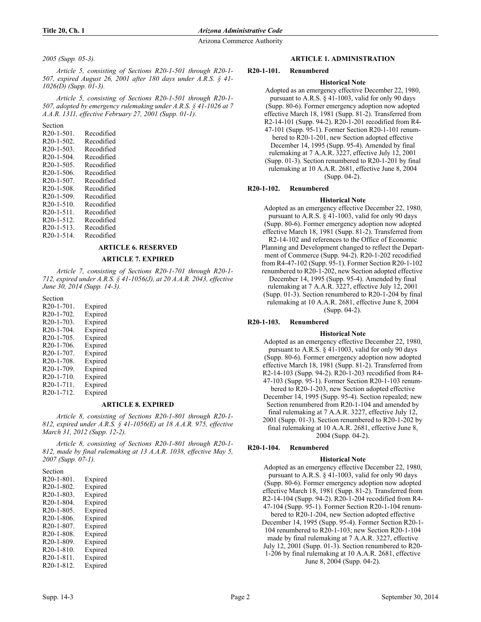## *2005 (Supp. 05-3).*

*Article 5, consisting of Sections R20-1-501 through R20-1- 507, expired August 26, 2001 after 180 days under A.R.S. § 41- 1026(D) (Supp. 01-3).*

*Article 5, consisting of Sections R20-1-501 through R20-1- 507, adopted by emergency rulemaking under A.R.S. § 41-1026 at 7 A.A.R. 1311, effective February 27, 2001 (Supp. 01-1).*

Section

| $R20-1-501$ .           | Recodified |
|-------------------------|------------|
| $R20-1-502$             | Recodified |
| $R20-1-503$ .           | Recodified |
| $R20-1-504$ .           | Recodified |
| $R20-1-505$ .           | Recodified |
| $R20-1-506$ .           | Recodified |
| R <sub>20</sub> -1-507. | Recodified |
| $R20-1-508$ .           | Recodified |
| R <sub>20</sub> -1-509. | Recodified |
| $R20-1-510$ .           | Recodified |
| $R20-1-511$ .           | Recodified |
| $R20-1-512$ .           | Recodified |
| $R20-1-513$ .           | Recodified |
| $R20-1-514$ .           | Recodified |
|                         |            |

# **ARTICLE 6. RESERVED**

# **ARTICLE 7. EXPIRED**

*Article 7, consisting of Sections R20-1-701 through R20-1- 712, expired under A.R.S. § 41-1056(J), at 20 A.A.R. 2043, effective June 30, 2014 (Supp. 14-3).*

Section R20-1-701. Expired R20-1-702. Expired R20-1-703. Expired R20-1-704. Expired R20-1-705. Expired R20-1-706. Expired R20-1-707. Expired R20-1-708. Expired R20-1-709. Expired R20-1-710. Expired R20-1-711. Expired R20-1-712. Expired

## **ARTICLE 8. EXPIRED**

*Article 8, consisting of Sections R20-1-801 through R20-1- 812, expired under A.R.S. § 41-1056(E) at 18 A.A.R. 975, effective March 31, 2012 (Supp. 12-2).*

*Article 8, consisting of Sections R20-1-801 through R20-1- 812, made by final rulemaking at 13 A.A.R. 1038, effective May 5, 2007 (Supp. 07-1).*

# Section

| R <sub>20</sub> -1-801. | Expired |
|-------------------------|---------|
| R20-1-802.              | Expired |
| $R20-1-803$ .           | Expired |
| R <sub>20</sub> -1-804. | Expired |
| R <sub>20</sub> -1-805. | Expired |
| $R20-1-806$ .           | Expired |
| R <sub>20</sub> -1-807. | Expired |
| R <sub>20</sub> -1-808. | Expired |
| R <sub>20</sub> -1-809. | Expired |
| R <sub>20</sub> -1-810. | Expired |
| R <sub>20</sub> -1-811. | Expired |
| R <sub>20</sub> -1-812. | Expired |

# **ARTICLE 1. ADMINISTRATION**

# **R20-1-101. Renumbered**

# **Historical Note**

Adopted as an emergency effective December 22, 1980, pursuant to A.R.S. § 41-1003, valid for only 90 days (Supp. 80-6). Former emergency adoption now adopted effective March 18, 1981 (Supp. 81-2). Transferred from R2-14-101 (Supp. 94-2). R20-1-201 recodified from R4- 47-101 (Supp. 95-1). Former Section R20-1-101 renumbered to R20-1-201, new Section adopted effective December 14, 1995 (Supp. 95-4). Amended by final rulemaking at 7 A.A.R. 3227, effective July 12, 2001 (Supp. 01-3). Section renumbered to R20-1-201 by final rulemaking at 10 A.A.R. 2681, effective June 8, 2004 (Supp. 04-2).

## **R20-1-102. Renumbered**

**Historical Note** Adopted as an emergency effective December 22, 1980, pursuant to A.R.S. § 41-1003, valid for only 90 days (Supp. 80-6). Former emergency adoption now adopted effective March 18, 1981 (Supp. 81-2). Transferred from R2-14-102 and references to the Office of Economic Planning and Development changed to reflect the Department of Commerce (Supp. 94-2). R20-1-202 recodified from R4-47-102 (Supp. 95-1). Former Section R20-1-102 renumbered to R20-1-202, new Section adopted effective December 14, 1995 (Supp. 95-4). Amended by final rulemaking at 7 A.A.R. 3227, effective July 12, 2001 (Supp. 01-3). Section renumbered to R20-1-204 by final rulemaking at 10 A.A.R. 2681, effective June 8, 2004 (Supp. 04-2).

# **R20-1-103. Renumbered**

## **Historical Note**

Adopted as an emergency effective December 22, 1980, pursuant to A.R.S. § 41-1003, valid for only 90 days (Supp. 80-6). Former emergency adoption now adopted effective March 18, 1981 (Supp. 81-2). Transferred from R2-14-103 (Supp. 94-2). R20-1-203 recodified from R4- 47-103 (Supp. 95-1). Former Section R20-1-103 renumbered to R20-1-203, new Section adopted effective December 14, 1995 (Supp. 95-4). Section repealed; new Section renumbered from R20-1-104 and amended by final rulemaking at 7 A.A.R. 3227, effective July 12, 2001 (Supp. 01-3). Section renumbered to R20-1-202 by final rulemaking at 10 A.A.R. 2681, effective June 8, 2004 (Supp. 04-2).

# **R20-1-104. Renumbered**

# **Historical Note**

Adopted as an emergency effective December 22, 1980, pursuant to A.R.S. § 41-1003, valid for only 90 days (Supp. 80-6). Former emergency adoption now adopted effective March 18, 1981 (Supp. 81-2). Transferred from R2-14-104 (Supp. 94-2). R20-1-204 recodified from R4-

47-104 (Supp. 95-1). Former Section R20-1-104 renumbered to R20-1-204, new Section adopted effective

December 14, 1995 (Supp. 95-4). Former Section R20-1- 104 renumbered to R20-1-103; new Section R20-1-104 made by final rulemaking at 7 A.A.R. 3227, effective

July 12, 2001 (Supp. 01-3). Section renumbered to R20- 1-206 by final rulemaking at 10 A.A.R. 2681, effective June 8, 2004 (Supp. 04-2).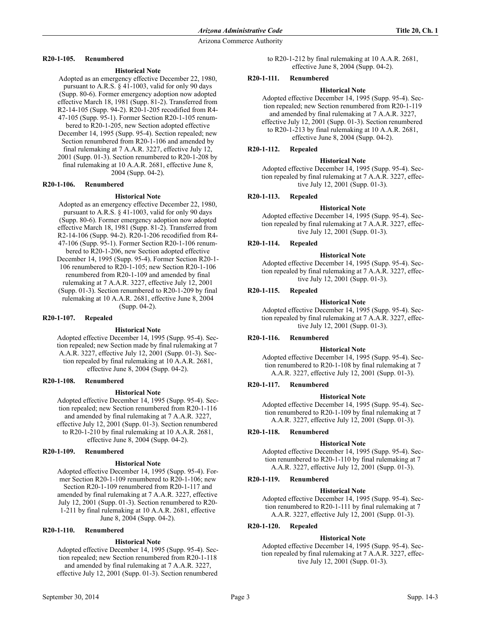# **R20-1-105. Renumbered**

## **Historical Note**

Adopted as an emergency effective December 22, 1980, pursuant to A.R.S. § 41-1003, valid for only 90 days (Supp. 80-6). Former emergency adoption now adopted effective March 18, 1981 (Supp. 81-2). Transferred from R2-14-105 (Supp. 94-2). R20-1-205 recodified from R4- 47-105 (Supp. 95-1). Former Section R20-1-105 renum-

bered to R20-1-205, new Section adopted effective December 14, 1995 (Supp. 95-4). Section repealed; new Section renumbered from R20-1-106 and amended by final rulemaking at 7 A.A.R. 3227, effective July 12,

2001 (Supp. 01-3). Section renumbered to R20-1-208 by final rulemaking at 10 A.A.R. 2681, effective June 8, 2004 (Supp. 04-2).

## **R20-1-106. Renumbered**

### **Historical Note**

Adopted as an emergency effective December 22, 1980, pursuant to A.R.S. § 41-1003, valid for only 90 days (Supp. 80-6). Former emergency adoption now adopted effective March 18, 1981 (Supp. 81-2). Transferred from R2-14-106 (Supp. 94-2). R20-1-206 recodified from R4- 47-106 (Supp. 95-1). Former Section R20-1-106 renumbered to R20-1-206, new Section adopted effective

December 14, 1995 (Supp. 95-4). Former Section R20-1- 106 renumbered to R20-1-105; new Section R20-1-106 renumbered from R20-1-109 and amended by final rulemaking at 7 A.A.R. 3227, effective July 12, 2001 (Supp. 01-3). Section renumbered to R20-1-209 by final rulemaking at 10 A.A.R. 2681, effective June 8, 2004 (Supp. 04-2).

## **R20-1-107. Repealed**

## **Historical Note**

Adopted effective December 14, 1995 (Supp. 95-4). Section repealed; new Section made by final rulemaking at 7 A.A.R. 3227, effective July 12, 2001 (Supp. 01-3). Section repealed by final rulemaking at 10 A.A.R. 2681, effective June 8, 2004 (Supp. 04-2).

#### **R20-1-108. Renumbered**

## **Historical Note**

Adopted effective December 14, 1995 (Supp. 95-4). Section repealed; new Section renumbered from R20-1-116 and amended by final rulemaking at 7 A.A.R. 3227, effective July 12, 2001 (Supp. 01-3). Section renumbered to R20-1-210 by final rulemaking at 10 A.A.R. 2681, effective June 8, 2004 (Supp. 04-2).

## **R20-1-109. Renumbered**

#### **Historical Note**

Adopted effective December 14, 1995 (Supp. 95-4). Former Section R20-1-109 renumbered to R20-1-106; new Section R20-1-109 renumbered from R20-1-117 and amended by final rulemaking at 7 A.A.R. 3227, effective July 12, 2001 (Supp. 01-3). Section renumbered to R20- 1-211 by final rulemaking at 10 A.A.R. 2681, effective June 8, 2004 (Supp. 04-2).

## **R20-1-110. Renumbered**

#### **Historical Note**

Adopted effective December 14, 1995 (Supp. 95-4). Section repealed; new Section renumbered from R20-1-118 and amended by final rulemaking at 7 A.A.R. 3227, effective July 12, 2001 (Supp. 01-3). Section renumbered

to R20-1-212 by final rulemaking at 10 A.A.R. 2681, effective June 8, 2004 (Supp. 04-2).

## **R20-1-111. Renumbered**

### **Historical Note**

Adopted effective December 14, 1995 (Supp. 95-4). Section repealed; new Section renumbered from R20-1-119 and amended by final rulemaking at 7 A.A.R. 3227, effective July 12, 2001 (Supp. 01-3). Section renumbered to R20-1-213 by final rulemaking at 10 A.A.R. 2681, effective June 8, 2004 (Supp. 04-2).

### **R20-1-112. Repealed**

### **Historical Note**

Adopted effective December 14, 1995 (Supp. 95-4). Section repealed by final rulemaking at 7 A.A.R. 3227, effective July 12, 2001 (Supp. 01-3).

### **R20-1-113. Repealed**

### **Historical Note**

Adopted effective December 14, 1995 (Supp. 95-4). Section repealed by final rulemaking at 7 A.A.R. 3227, effective July 12, 2001 (Supp. 01-3).

### **R20-1-114. Repealed**

#### **Historical Note**

Adopted effective December 14, 1995 (Supp. 95-4). Section repealed by final rulemaking at 7 A.A.R. 3227, effective July 12, 2001 (Supp. 01-3).

### **R20-1-115. Repealed**

#### **Historical Note**

Adopted effective December 14, 1995 (Supp. 95-4). Section repealed by final rulemaking at 7 A.A.R. 3227, effective July 12, 2001 (Supp. 01-3).

## **R20-1-116. Renumbered**

#### **Historical Note**

Adopted effective December 14, 1995 (Supp. 95-4). Section renumbered to R20-1-108 by final rulemaking at 7 A.A.R. 3227, effective July 12, 2001 (Supp. 01-3).

## **R20-1-117. Renumbered**

## **Historical Note**

Adopted effective December 14, 1995 (Supp. 95-4). Section renumbered to R20-1-109 by final rulemaking at 7 A.A.R. 3227, effective July 12, 2001 (Supp. 01-3).

## **R20-1-118. Renumbered**

## **Historical Note**

Adopted effective December 14, 1995 (Supp. 95-4). Section renumbered to R20-1-110 by final rulemaking at 7 A.A.R. 3227, effective July 12, 2001 (Supp. 01-3).

## **R20-1-119. Renumbered**

#### **Historical Note**

Adopted effective December 14, 1995 (Supp. 95-4). Section renumbered to R20-1-111 by final rulemaking at 7 A.A.R. 3227, effective July 12, 2001 (Supp. 01-3).

## **R20-1-120. Repealed**

#### **Historical Note**

Adopted effective December 14, 1995 (Supp. 95-4). Section repealed by final rulemaking at 7 A.A.R. 3227, effective July 12, 2001 (Supp. 01-3).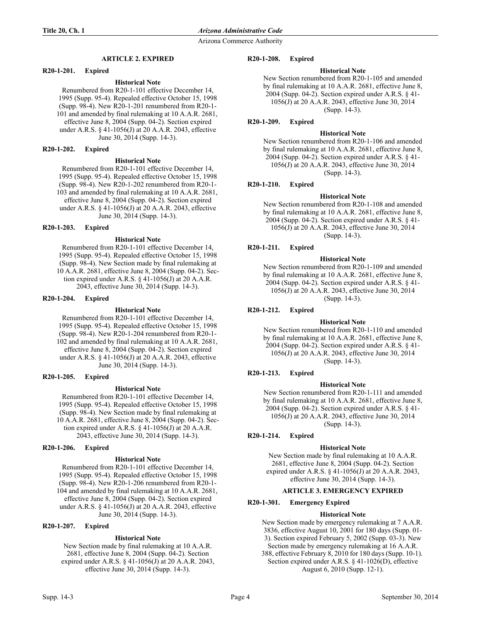# **ARTICLE 2. EXPIRED**

## **R20-1-201. Expired**

## **Historical Note**

Renumbered from R20-1-101 effective December 14, 1995 (Supp. 95-4). Repealed effective October 15, 1998 (Supp. 98-4). New R20-1-201 renumbered from R20-1- 101 and amended by final rulemaking at 10 A.A.R. 2681, effective June 8, 2004 (Supp. 04-2). Section expired under A.R.S. § 41-1056(J) at 20 A.A.R. 2043, effective June 30, 2014 (Supp. 14-3).

### **R20-1-202. Expired**

### **Historical Note**

Renumbered from R20-1-101 effective December 14, 1995 (Supp. 95-4). Repealed effective October 15, 1998 (Supp. 98-4). New R20-1-202 renumbered from R20-1- 103 and amended by final rulemaking at 10 A.A.R. 2681, effective June 8, 2004 (Supp. 04-2). Section expired under A.R.S. § 41-1056(J) at 20 A.A.R. 2043, effective June 30, 2014 (Supp. 14-3).

### **R20-1-203. Expired**

### **Historical Note**

Renumbered from R20-1-101 effective December 14, 1995 (Supp. 95-4). Repealed effective October 15, 1998 (Supp. 98-4). New Section made by final rulemaking at 10 A.A.R. 2681, effective June 8, 2004 (Supp. 04-2). Section expired under A.R.S.  $\S$  41-1056(J) at 20 A.A.R. 2043, effective June 30, 2014 (Supp. 14-3).

### **R20-1-204. Expired**

### **Historical Note**

Renumbered from R20-1-101 effective December 14, 1995 (Supp. 95-4). Repealed effective October 15, 1998 (Supp. 98-4). New R20-1-204 renumbered from R20-1- 102 and amended by final rulemaking at 10 A.A.R. 2681, effective June 8, 2004 (Supp. 04-2). Section expired under A.R.S. § 41-1056(J) at 20 A.A.R. 2043, effective June 30, 2014 (Supp. 14-3).

### **R20-1-205. Expired**

#### **Historical Note**

Renumbered from R20-1-101 effective December 14, 1995 (Supp. 95-4). Repealed effective October 15, 1998 (Supp. 98-4). New Section made by final rulemaking at 10 A.A.R. 2681, effective June 8, 2004 (Supp. 04-2). Section expired under A.R.S.  $\S$  41-1056(J) at 20 A.A.R. 2043, effective June 30, 2014 (Supp. 14-3).

#### **R20-1-206. Expired**

## **Historical Note**

Renumbered from R20-1-101 effective December 14, 1995 (Supp. 95-4). Repealed effective October 15, 1998 (Supp. 98-4). New R20-1-206 renumbered from R20-1- 104 and amended by final rulemaking at 10 A.A.R. 2681, effective June 8, 2004 (Supp. 04-2). Section expired under A.R.S. § 41-1056(J) at 20 A.A.R. 2043, effective June 30, 2014 (Supp. 14-3).

# **R20-1-207. Expired**

# **Historical Note**

New Section made by final rulemaking at 10 A.A.R. 2681, effective June 8, 2004 (Supp. 04-2). Section expired under A.R.S. § 41-1056(J) at 20 A.A.R. 2043, effective June 30, 2014 (Supp. 14-3).

### **R20-1-208. Expired**

# **Historical Note**

New Section renumbered from R20-1-105 and amended by final rulemaking at 10 A.A.R. 2681, effective June 8, 2004 (Supp. 04-2). Section expired under A.R.S. § 41- 1056(J) at 20 A.A.R. 2043, effective June 30, 2014 (Supp. 14-3).

### **R20-1-209. Expired**

## **Historical Note**

New Section renumbered from R20-1-106 and amended by final rulemaking at 10 A.A.R. 2681, effective June 8, 2004 (Supp. 04-2). Section expired under A.R.S. § 41- 1056(J) at 20 A.A.R. 2043, effective June 30, 2014 (Supp. 14-3).

### **R20-1-210. Expired**

### **Historical Note**

New Section renumbered from R20-1-108 and amended by final rulemaking at 10 A.A.R. 2681, effective June 8, 2004 (Supp. 04-2). Section expired under A.R.S. § 41- 1056(J) at 20 A.A.R. 2043, effective June 30, 2014 (Supp. 14-3).

## **R20-1-211. Expired**

### **Historical Note**

New Section renumbered from R20-1-109 and amended by final rulemaking at 10 A.A.R. 2681, effective June 8, 2004 (Supp. 04-2). Section expired under A.R.S. § 41- 1056(J) at 20 A.A.R. 2043, effective June 30, 2014 (Supp. 14-3).

# **R20-1-212. Expired**

## **Historical Note**

New Section renumbered from R20-1-110 and amended by final rulemaking at 10 A.A.R. 2681, effective June 8, 2004 (Supp. 04-2). Section expired under A.R.S. § 41- 1056(J) at 20 A.A.R. 2043, effective June 30, 2014 (Supp. 14-3).

## **R20-1-213. Expired**

# **Historical Note**

New Section renumbered from R20-1-111 and amended by final rulemaking at 10 A.A.R. 2681, effective June 8, 2004 (Supp. 04-2). Section expired under A.R.S. § 41- 1056(J) at 20 A.A.R. 2043, effective June 30, 2014 (Supp. 14-3).

# **R20-1-214. Expired**

## **Historical Note**

New Section made by final rulemaking at 10 A.A.R. 2681, effective June 8, 2004 (Supp. 04-2). Section expired under A.R.S. § 41-1056(J) at 20 A.A.R. 2043, effective June 30, 2014 (Supp. 14-3).

## **ARTICLE 3. EMERGENCY EXPIRED**

## **R20-1-301. Emergency Expired**

## **Historical Note**

New Section made by emergency rulemaking at 7 A.A.R. 3836, effective August 10, 2001 for 180 days (Supp. 01- 3). Section expired February 5, 2002 (Supp. 03-3). New Section made by emergency rulemaking at 16 A.A.R. 388, effective February 8, 2010 for 180 days (Supp. 10-1). Section expired under A.R.S. § 41-1026(D), effective August 6, 2010 (Supp. 12-1).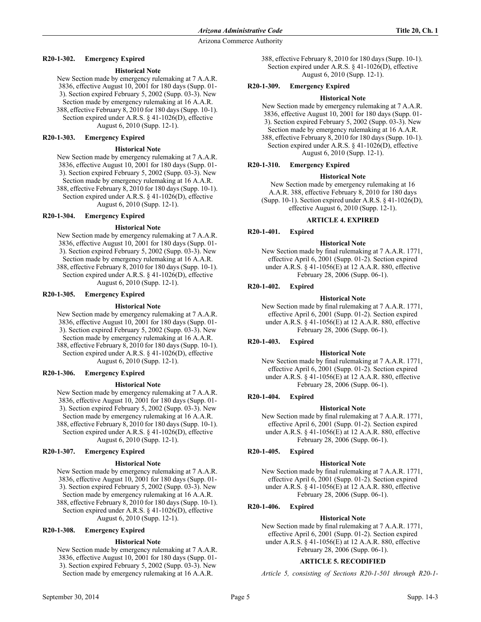# **R20-1-302. Emergency Expired**

# **Historical Note**

New Section made by emergency rulemaking at 7 A.A.R. 3836, effective August 10, 2001 for 180 days (Supp. 01- 3). Section expired February 5, 2002 (Supp. 03-3). New Section made by emergency rulemaking at 16 A.A.R. 388, effective February 8, 2010 for 180 days (Supp. 10-1). Section expired under A.R.S. § 41-1026(D), effective August 6, 2010 (Supp. 12-1).

# **R20-1-303. Emergency Expired**

### **Historical Note**

New Section made by emergency rulemaking at 7 A.A.R. 3836, effective August 10, 2001 for 180 days (Supp. 01- 3). Section expired February 5, 2002 (Supp. 03-3). New Section made by emergency rulemaking at 16 A.A.R. 388, effective February 8, 2010 for 180 days (Supp. 10-1). Section expired under A.R.S. § 41-1026(D), effective August 6, 2010 (Supp. 12-1).

# **R20-1-304. Emergency Expired**

### **Historical Note**

New Section made by emergency rulemaking at 7 A.A.R. 3836, effective August 10, 2001 for 180 days (Supp. 01- 3). Section expired February 5, 2002 (Supp. 03-3). New Section made by emergency rulemaking at 16 A.A.R. 388, effective February 8, 2010 for 180 days (Supp. 10-1). Section expired under A.R.S. § 41-1026(D), effective August 6, 2010 (Supp. 12-1).

#### **R20-1-305. Emergency Expired**

### **Historical Note**

New Section made by emergency rulemaking at 7 A.A.R. 3836, effective August 10, 2001 for 180 days (Supp. 01- 3). Section expired February 5, 2002 (Supp. 03-3). New Section made by emergency rulemaking at 16 A.A.R. 388, effective February 8, 2010 for 180 days (Supp. 10-1). Section expired under A.R.S. § 41-1026(D), effective August 6, 2010 (Supp. 12-1).

#### **R20-1-306. Emergency Expired**

#### **Historical Note**

New Section made by emergency rulemaking at 7 A.A.R. 3836, effective August 10, 2001 for 180 days (Supp. 01- 3). Section expired February 5, 2002 (Supp. 03-3). New Section made by emergency rulemaking at 16 A.A.R. 388, effective February 8, 2010 for 180 days (Supp. 10-1). Section expired under A.R.S. § 41-1026(D), effective August 6, 2010 (Supp. 12-1).

## **R20-1-307. Emergency Expired**

#### **Historical Note**

New Section made by emergency rulemaking at 7 A.A.R. 3836, effective August 10, 2001 for 180 days (Supp. 01- 3). Section expired February 5, 2002 (Supp. 03-3). New Section made by emergency rulemaking at 16 A.A.R. 388, effective February 8, 2010 for 180 days (Supp. 10-1). Section expired under A.R.S. § 41-1026(D), effective August 6, 2010 (Supp. 12-1).

## **R20-1-308. Emergency Expired**

#### **Historical Note**

New Section made by emergency rulemaking at 7 A.A.R. 3836, effective August 10, 2001 for 180 days (Supp. 01- 3). Section expired February 5, 2002 (Supp. 03-3). New Section made by emergency rulemaking at 16 A.A.R.

388, effective February 8, 2010 for 180 days (Supp. 10-1). Section expired under A.R.S. § 41-1026(D), effective August 6, 2010 (Supp. 12-1).

## **R20-1-309. Emergency Expired**

### **Historical Note**

New Section made by emergency rulemaking at 7 A.A.R. 3836, effective August 10, 2001 for 180 days (Supp. 01- 3). Section expired February 5, 2002 (Supp. 03-3). New Section made by emergency rulemaking at 16 A.A.R. 388, effective February 8, 2010 for 180 days (Supp. 10-1). Section expired under A.R.S. § 41-1026(D), effective August 6, 2010 (Supp. 12-1).

### **R20-1-310. Emergency Expired**

### **Historical Note**

New Section made by emergency rulemaking at 16 A.A.R. 388, effective February 8, 2010 for 180 days (Supp. 10-1). Section expired under A.R.S. § 41-1026(D), effective August 6, 2010 (Supp. 12-1).

### **ARTICLE 4. EXPIRED**

# **R20-1-401. Expired**

### **Historical Note**

New Section made by final rulemaking at 7 A.A.R. 1771, effective April 6, 2001 (Supp. 01-2). Section expired under A.R.S. § 41-1056(E) at 12 A.A.R. 880, effective February 28, 2006 (Supp. 06-1).

### **R20-1-402. Expired**

#### **Historical Note**

New Section made by final rulemaking at 7 A.A.R. 1771, effective April 6, 2001 (Supp. 01-2). Section expired under A.R.S. § 41-1056(E) at 12 A.A.R. 880, effective February 28, 2006 (Supp. 06-1).

## **R20-1-403. Expired**

#### **Historical Note**

New Section made by final rulemaking at 7 A.A.R. 1771, effective April 6, 2001 (Supp. 01-2). Section expired under A.R.S. § 41-1056(E) at 12 A.A.R. 880, effective February 28, 2006 (Supp. 06-1).

# **R20-1-404. Expired**

#### **Historical Note**

New Section made by final rulemaking at 7 A.A.R. 1771, effective April 6, 2001 (Supp. 01-2). Section expired under A.R.S. § 41-1056(E) at 12 A.A.R. 880, effective February 28, 2006 (Supp. 06-1).

## **R20-1-405. Expired**

#### **Historical Note**

New Section made by final rulemaking at 7 A.A.R. 1771, effective April 6, 2001 (Supp. 01-2). Section expired under A.R.S. § 41-1056(E) at 12 A.A.R. 880, effective February 28, 2006 (Supp. 06-1).

# **R20-1-406. Expired**

#### **Historical Note**

New Section made by final rulemaking at 7 A.A.R. 1771, effective April 6, 2001 (Supp. 01-2). Section expired under A.R.S. § 41-1056(E) at 12 A.A.R. 880, effective February 28, 2006 (Supp. 06-1).

#### **ARTICLE 5. RECODIFIED**

*Article 5, consisting of Sections R20-1-501 through R20-1-*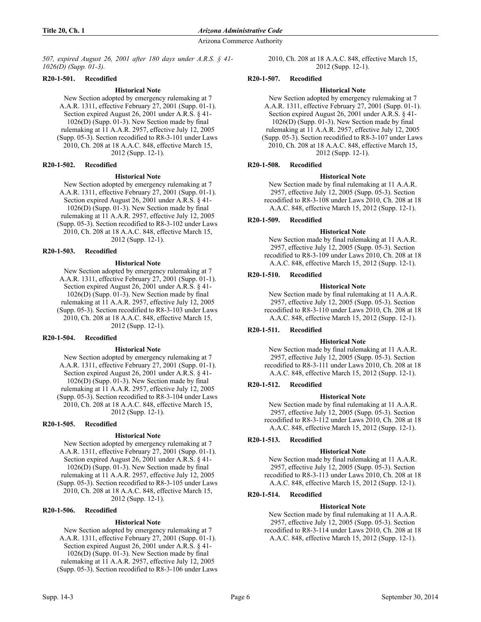*507, expired August 26, 2001 after 180 days under A.R.S. § 41- 1026(D) (Supp. 01-3).*

# **R20-1-501. Recodified**

## **Historical Note**

New Section adopted by emergency rulemaking at 7 A.A.R. 1311, effective February 27, 2001 (Supp. 01-1). Section expired August 26, 2001 under A.R.S. § 41- 1026(D) (Supp. 01-3). New Section made by final rulemaking at 11 A.A.R. 2957, effective July 12, 2005 (Supp. 05-3). Section recodified to R8-3-101 under Laws 2010, Ch. 208 at 18 A.A.C. 848, effective March 15, 2012 (Supp. 12-1).

## **R20-1-502. Recodified**

### **Historical Note**

New Section adopted by emergency rulemaking at 7 A.A.R. 1311, effective February 27, 2001 (Supp. 01-1). Section expired August 26, 2001 under A.R.S. § 41- 1026(D) (Supp. 01-3). New Section made by final rulemaking at 11 A.A.R. 2957, effective July 12, 2005 (Supp. 05-3). Section recodified to R8-3-102 under Laws 2010, Ch. 208 at 18 A.A.C. 848, effective March 15, 2012 (Supp. 12-1).

# **R20-1-503. Recodified**

## **Historical Note**

New Section adopted by emergency rulemaking at 7 A.A.R. 1311, effective February 27, 2001 (Supp. 01-1). Section expired August 26, 2001 under A.R.S. § 41- 1026(D) (Supp. 01-3). New Section made by final rulemaking at 11 A.A.R. 2957, effective July 12, 2005 (Supp. 05-3). Section recodified to R8-3-103 under Laws 2010, Ch. 208 at 18 A.A.C. 848, effective March 15, 2012 (Supp. 12-1).

### **R20-1-504. Recodified**

### **Historical Note**

New Section adopted by emergency rulemaking at 7 A.A.R. 1311, effective February 27, 2001 (Supp. 01-1). Section expired August 26, 2001 under A.R.S. § 41- 1026(D) (Supp. 01-3). New Section made by final rulemaking at 11 A.A.R. 2957, effective July 12, 2005 (Supp. 05-3). Section recodified to R8-3-104 under Laws 2010, Ch. 208 at 18 A.A.C. 848, effective March 15, 2012 (Supp. 12-1).

## **R20-1-505. Recodified**

#### **Historical Note**

New Section adopted by emergency rulemaking at 7 A.A.R. 1311, effective February 27, 2001 (Supp. 01-1). Section expired August 26, 2001 under A.R.S. § 41- 1026(D) (Supp. 01-3). New Section made by final rulemaking at 11 A.A.R. 2957, effective July 12, 2005 (Supp. 05-3). Section recodified to R8-3-105 under Laws 2010, Ch. 208 at 18 A.A.C. 848, effective March 15, 2012 (Supp. 12-1).

# **R20-1-506. Recodified**

## **Historical Note**

New Section adopted by emergency rulemaking at 7 A.A.R. 1311, effective February 27, 2001 (Supp. 01-1). Section expired August 26, 2001 under A.R.S. § 41- 1026(D) (Supp. 01-3). New Section made by final rulemaking at 11 A.A.R. 2957, effective July 12, 2005 (Supp. 05-3). Section recodified to R8-3-106 under Laws 2010, Ch. 208 at 18 A.A.C. 848, effective March 15, 2012 (Supp. 12-1).

## **R20-1-507. Recodified**

### **Historical Note**

New Section adopted by emergency rulemaking at 7 A.A.R. 1311, effective February 27, 2001 (Supp. 01-1). Section expired August 26, 2001 under A.R.S. § 41- 1026(D) (Supp. 01-3). New Section made by final rulemaking at 11 A.A.R. 2957, effective July 12, 2005 (Supp. 05-3). Section recodified to R8-3-107 under Laws 2010, Ch. 208 at 18 A.A.C. 848, effective March 15, 2012 (Supp. 12-1).

### **R20-1-508. Recodified**

# **Historical Note**

New Section made by final rulemaking at 11 A.A.R. 2957, effective July 12, 2005 (Supp. 05-3). Section recodified to R8-3-108 under Laws 2010, Ch. 208 at 18 A.A.C. 848, effective March 15, 2012 (Supp. 12-1).

# **R20-1-509. Recodified**

### **Historical Note**

New Section made by final rulemaking at 11 A.A.R. 2957, effective July 12, 2005 (Supp. 05-3). Section recodified to R8-3-109 under Laws 2010, Ch. 208 at 18 A.A.C. 848, effective March 15, 2012 (Supp. 12-1).

## **R20-1-510. Recodified**

### **Historical Note**

New Section made by final rulemaking at 11 A.A.R. 2957, effective July 12, 2005 (Supp. 05-3). Section recodified to R8-3-110 under Laws 2010, Ch. 208 at 18 A.A.C. 848, effective March 15, 2012 (Supp. 12-1).

## **R20-1-511. Recodified**

### **Historical Note**

New Section made by final rulemaking at 11 A.A.R. 2957, effective July 12, 2005 (Supp. 05-3). Section recodified to R8-3-111 under Laws 2010, Ch. 208 at 18 A.A.C. 848, effective March 15, 2012 (Supp. 12-1).

# **R20-1-512. Recodified**

## **Historical Note**

New Section made by final rulemaking at 11 A.A.R. 2957, effective July 12, 2005 (Supp. 05-3). Section recodified to R8-3-112 under Laws 2010, Ch. 208 at 18 A.A.C. 848, effective March 15, 2012 (Supp. 12-1).

## **R20-1-513. Recodified**

#### **Historical Note**

New Section made by final rulemaking at 11 A.A.R. 2957, effective July 12, 2005 (Supp. 05-3). Section recodified to R8-3-113 under Laws 2010, Ch. 208 at 18 A.A.C. 848, effective March 15, 2012 (Supp. 12-1).

# **R20-1-514. Recodified**

#### **Historical Note**

New Section made by final rulemaking at 11 A.A.R. 2957, effective July 12, 2005 (Supp. 05-3). Section recodified to R8-3-114 under Laws 2010, Ch. 208 at 18 A.A.C. 848, effective March 15, 2012 (Supp. 12-1).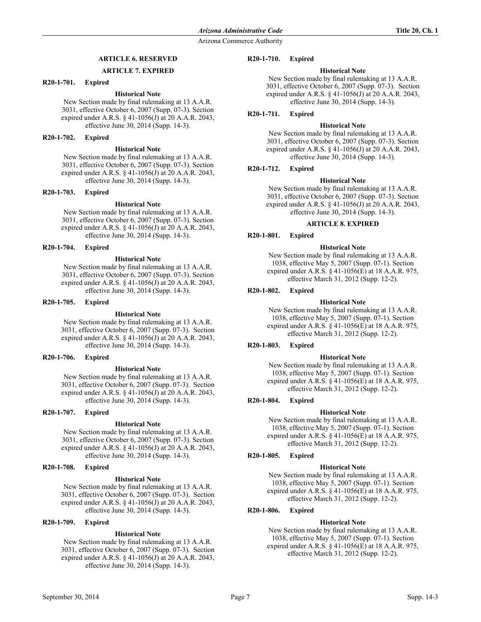# **ARTICLE 6. RESERVED**

### **ARTICLE 7. EXPIRED**

### **R20-1-701. Expired**

# **Historical Note**

New Section made by final rulemaking at 13 A.A.R. 3031, effective October 6, 2007 (Supp. 07-3). Section expired under A.R.S. § 41-1056(J) at 20 A.A.R. 2043, effective June 30, 2014 (Supp. 14-3).

## **R20-1-702. Expired**

# **Historical Note**

New Section made by final rulemaking at 13 A.A.R. 3031, effective October 6, 2007 (Supp. 07-3). Section expired under A.R.S. § 41-1056(J) at 20 A.A.R. 2043, effective June 30, 2014 (Supp. 14-3).

### **R20-1-703. Expired**

### **Historical Note**

New Section made by final rulemaking at 13 A.A.R. 3031, effective October 6, 2007 (Supp. 07-3). Section expired under A.R.S. § 41-1056(J) at 20 A.A.R. 2043, effective June 30, 2014 (Supp. 14-3).

# **R20-1-704. Expired**

# **Historical Note**

New Section made by final rulemaking at 13 A.A.R. 3031, effective October 6, 2007 (Supp. 07-3). Section expired under A.R.S. § 41-1056(J) at 20 A.A.R. 2043, effective June 30, 2014 (Supp. 14-3).

### **R20-1-705. Expired**

#### **Historical Note**

New Section made by final rulemaking at 13 A.A.R. 3031, effective October 6, 2007 (Supp. 07-3). Section expired under A.R.S. § 41-1056(J) at 20 A.A.R. 2043, effective June 30, 2014 (Supp. 14-3).

## **R20-1-706. Expired**

#### **Historical Note**

New Section made by final rulemaking at 13 A.A.R. 3031, effective October 6, 2007 (Supp. 07-3). Section expired under A.R.S. § 41-1056(J) at 20 A.A.R. 2043, effective June 30, 2014 (Supp. 14-3).

### **R20-1-707. Expired**

#### **Historical Note**

New Section made by final rulemaking at 13 A.A.R. 3031, effective October 6, 2007 (Supp. 07-3). Section expired under A.R.S. § 41-1056(J) at 20 A.A.R. 2043, effective June 30, 2014 (Supp. 14-3).

# **R20-1-708. Expired**

## **Historical Note**

New Section made by final rulemaking at 13 A.A.R. 3031, effective October 6, 2007 (Supp. 07-3). Section expired under A.R.S. § 41-1056(J) at 20 A.A.R. 2043, effective June 30, 2014 (Supp. 14-3).

# **R20-1-709. Expired**

# **Historical Note**

New Section made by final rulemaking at 13 A.A.R. 3031, effective October 6, 2007 (Supp. 07-3). Section expired under A.R.S. § 41-1056(J) at 20 A.A.R. 2043, effective June 30, 2014 (Supp. 14-3).

#### **R20-1-710. Expired**

### **Historical Note**

New Section made by final rulemaking at 13 A.A.R. 3031, effective October 6, 2007 (Supp. 07-3). Section expired under A.R.S. § 41-1056(J) at 20 A.A.R. 2043, effective June 30, 2014 (Supp. 14-3).

**R20-1-711. Expired**

### **Historical Note**

New Section made by final rulemaking at 13 A.A.R. 3031, effective October 6, 2007 (Supp. 07-3). Section expired under A.R.S. § 41-1056(J) at 20 A.A.R. 2043, effective June 30, 2014 (Supp. 14-3).

# **R20-1-712. Expired**

### **Historical Note**

New Section made by final rulemaking at 13 A.A.R. 3031, effective October 6, 2007 (Supp. 07-3). Section expired under A.R.S. § 41-1056(J) at 20 A.A.R. 2043, effective June 30, 2014 (Supp. 14-3).

### **ARTICLE 8. EXPIRED**

#### **R20-1-801. Expired**

#### **Historical Note**

New Section made by final rulemaking at 13 A.A.R. 1038, effective May 5, 2007 (Supp. 07-1). Section expired under A.R.S. § 41-1056(E) at 18 A.A.R. 975, effective March 31, 2012 (Supp. 12-2).

### **R20-1-802. Expired**

#### **Historical Note**

New Section made by final rulemaking at 13 A.A.R. 1038, effective May 5, 2007 (Supp. 07-1). Section expired under A.R.S. § 41-1056(E) at 18 A.A.R. 975, effective March 31, 2012 (Supp. 12-2).

#### **R20-1-803. Expired**

### **Historical Note**

New Section made by final rulemaking at 13 A.A.R. 1038, effective May 5, 2007 (Supp. 07-1). Section expired under A.R.S. § 41-1056(E) at 18 A.A.R. 975, effective March 31, 2012 (Supp. 12-2).

# **R20-1-804. Expired**

#### **Historical Note**

New Section made by final rulemaking at 13 A.A.R. 1038, effective May 5, 2007 (Supp. 07-1). Section expired under A.R.S. § 41-1056(E) at 18 A.A.R. 975, effective March 31, 2012 (Supp. 12-2).

#### **R20-1-805. Expired**

### **Historical Note**

New Section made by final rulemaking at 13 A.A.R. 1038, effective May 5, 2007 (Supp. 07-1). Section expired under A.R.S. § 41-1056(E) at 18 A.A.R. 975, effective March 31, 2012 (Supp. 12-2).

## **R20-1-806. Expired**

### **Historical Note**

New Section made by final rulemaking at 13 A.A.R. 1038, effective May 5, 2007 (Supp. 07-1). Section expired under A.R.S. § 41-1056(E) at 18 A.A.R. 975, effective March 31, 2012 (Supp. 12-2).